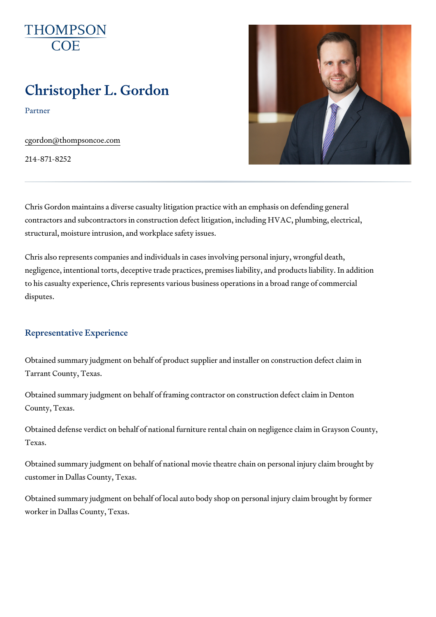# Christopher L. Gordon

Partner

[cgordon@thompso](mailto:cgordon@thompsoncoe.com)ncoe.com

214-871-8252

Chris Gordon maintains a diverse casualty litigation practice with an emph contractors and subcontractors in construction defect litigation, including structural, moisture intrusion, and workplace safety issues.

Chris also represents companies and individuals in cases involving person negligence, intentional torts, deceptive trade practices, premises liability, to his casualty experience, Chris represents various business operations i disputes.

## Representative Experience

Obtained summary judgment on behalf of product supplier and installer on Tarrant County, Texas.

Obtained summary judgment on behalf of framing contractor on constructio County, Texas.

Obtained defense verdict on behalf of national furniture rental chain on ne Texas.

Obtained summary judgment on behalf of national movie theatre chain on p customer in Dallas County, Texas.

Obtained summary judgment on behalf of local auto body shop on personal worker in Dallas County, Texas.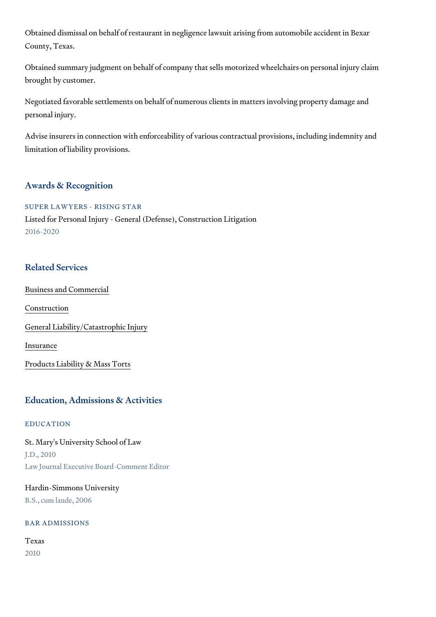Obtained dismissal on behalf of restaurant in negligence lawsuit arising fr County, Texas.

Obtained summary judgment on behalf of company that sells motorized whe brought by customer.

Negotiated favorable settlements on behalf of numerous clients in matters personal injury.

Advise insurers in connection with enforceability of various contractual pro limitation of liability provisions.

## Awards & Recognition

SUPER LAWYERS - RISING STAR Listed for Personal Injury - General (Defense), Construction Litigation 2016-2020

# Related Services

[Business and C](https://www.thompsoncoe.com/people/christopher-l-gordon/)ommercial

[Constru](https://www.thompsoncoe.com/people/christopher-l-gordon/)ction

[General Liability/Catas](https://www.thompsoncoe.com/people/christopher-l-gordon/)trophic Injury

[Insura](https://www.thompsoncoe.com/people/christopher-l-gordon/)nce

[Products Liability &](https://www.thompsoncoe.com/people/christopher-l-gordon/) Mass Torts

# Education, Admissions & Activities

## EDUCATION

St. Mary's University School of Law J.D., 2010 Law Journal Executive Board-Comment Editor

# Hardin-Simmons University B.S., cum laude, 2006

## BAR ADMISSIONS

# Texas 2010